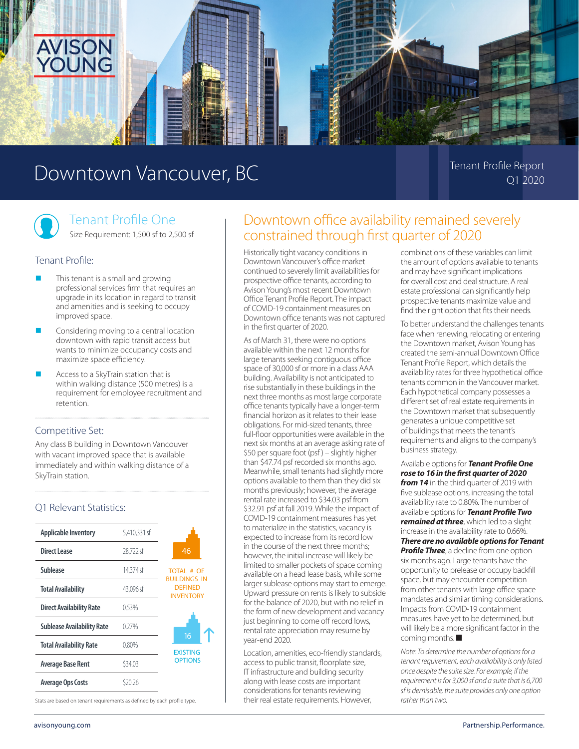

# Downtown Vancouver, BC Tenant Profile Report

Q1 2020

# Tenant Profile One

Size Requirement: 1,500 sf to 2,500 sf

#### Tenant Profile:

- This tenant is a small and growing professional services firm that requires an upgrade in its location in regard to transit and amenities and is seeking to occupy improved space.
- Considering moving to a central location downtown with rapid transit access but wants to minimize occupancy costs and maximize space efficiency.
- Access to a SkyTrain station that is within walking distance (500 metres) is a requirement for employee recruitment and retention.

#### Competitive Set:

Any class B building in Downtown Vancouver with vacant improved space that is available immediately and within walking distance of a SkyTrain station.

## Q1 Relevant Statistics:

| <b>Applicable Inventory</b>       | 5.410.331 sf |                                                                                |
|-----------------------------------|--------------|--------------------------------------------------------------------------------|
| Direct Lease                      | 28.722 sf    | 46                                                                             |
| Sublease                          | 14.374 sf    | <b>TOTAL # OF</b><br><b>BUILDINGS IN</b><br><b>DEFINED</b><br><b>INVENTORY</b> |
| <b>Total Availability</b>         | 43.096 sf    |                                                                                |
| <b>Direct Availability Rate</b>   | 0.53%        |                                                                                |
| <b>Sublease Availability Rate</b> | 0.27%        | 16<br><b>EXISTING</b><br><b>OPTIONS</b>                                        |
| <b>Total Availability Rate</b>    | 0.80%        |                                                                                |
| <b>Average Base Rent</b>          | \$34.03      |                                                                                |
| <b>Average Ops Costs</b>          | S20.26       |                                                                                |



Stats are based on tenant requirements as defined by each profile type.

# Downtown office availability remained severely constrained through first quarter of 2020

Historically tight vacancy conditions in Downtown Vancouver's office market continued to severely limit availabilities for prospective office tenants, according to Avison Young's most recent Downtown Office Tenant Profile Report. The impact of COVID-19 containment measures on Downtown office tenants was not captured in the first quarter of 2020.

As of March 31, there were no options available within the next 12 months for large tenants seeking contiguous office space of 30,000 sf or more in a class AAA building. Availability is not anticipated to rise substantially in these buildings in the next three months as most large corporate office tenants typically have a longer-term financial horizon as it relates to their lease obligations. For mid-sized tenants, three full-floor opportunities were available in the next six months at an average asking rate of \$50 per square foot (psf ) – slightly higher than \$47.74 psf recorded six months ago. Meanwhile, small tenants had slightly more options available to them than they did six months previously; however, the average rental rate increased to \$34.03 psf from \$32.91 psf at fall 2019. While the impact of COVID-19 containment measures has yet to materialize in the statistics, vacancy is expected to increase from its record low in the course of the next three months; however, the initial increase will likely be limited to smaller pockets of space coming available on a head lease basis, while some larger sublease options may start to emerge. Upward pressure on rents is likely to subside for the balance of 2020, but with no relief in the form of new development and vacancy just beginning to come off record lows, rental rate appreciation may resume by year-end 2020.

Location, amenities, eco-friendly standards, access to public transit, floorplate size, IT infrastructure and building security along with lease costs are important considerations for tenants reviewing their real estate requirements. However,

combinations of these variables can limit the amount of options available to tenants and may have significant implications for overall cost and deal structure. A real estate professional can significantly help prospective tenants maximize value and find the right option that fits their needs.

To better understand the challenges tenants face when renewing, relocating or entering the Downtown market, Avison Young has created the semi-annual Downtown Office Tenant Profile Report, which details the availability rates for three hypothetical office tenants common in the Vancouver market. Each hypothetical company possesses a different set of real estate requirements in the Downtown market that subsequently generates a unique competitive set of buildings that meets the tenant's requirements and aligns to the company's business strategy.

Available options for *Tenant Profile One rose to 16 in the first quarter of 2020*  **from 14** in the third quarter of 2019 with five sublease options, increasing the total availability rate to 0.80%. The number of available options for *Tenant Profile Two remained at three*, which led to a slight increase in the availability rate to 0.66%. *There are no available options for Tenant*  **Profile Three**, a decline from one option six months ago. Large tenants have the opportunity to prelease or occupy backfill space, but may encounter competition from other tenants with large office space mandates and similar timing considerations. Impacts from COVID-19 containment measures have yet to be determined, but will likely be a more significant factor in the coming months.

*Note: To determine the number of options for a tenant requirement, each availability is only listed once despite the suite size. For example, if the requirement is for 3,000 sf and a suite that is 6,700 sf is demisable, the suite provides only one option rather than two.*